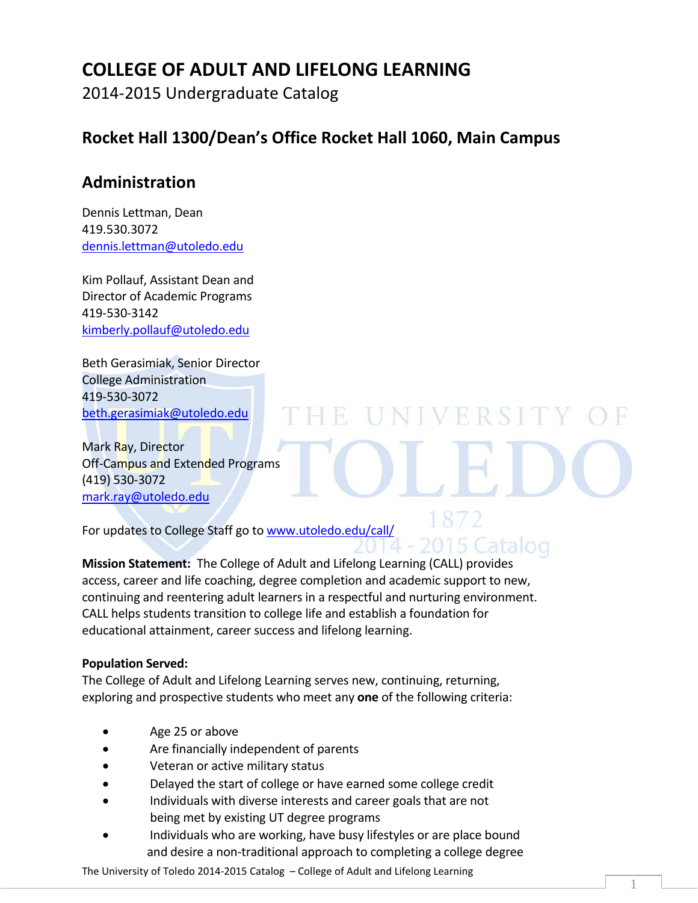# **COLLEGE OF ADULT AND LIFELONG LEARNING**

2014-2015 Undergraduate Catalog

# **Rocket Hall 1300/Dean's Office Rocket Hall 1060, Main Campus**

# **Administration**

Dennis Lettman, Dean 419.530.3072 [dennis.lettman@utoledo.edu](mailto:dennis.lettman@utoledo.edu)

Kim Pollauf, Assistant Dean and Director of Academic Programs 419-530-3142 [kimberly.pollauf@utoledo.edu](mailto:kimberly.pollauf@utoledo.edu)

Beth Gerasimiak, Senior Director College Administration 419-530-3072 [beth.gerasimiak@utoledo.edu](mailto:beth.gerasimiak@utoledo.edu)

Mark Ray, Director Off-Campus and Extended Programs (419) 530-3072 [mark.ray@utoledo.edu](mailto:mark.ray@utoledo.edu)

For updates to College Staff go to [www.utoledo.edu/call/](http://www.utoledo.edu/call/)

**Mission Statement:** The College of Adult and Lifelong Learning (CALL) provides access, career and life coaching, degree completion and academic support to new, continuing and reentering adult learners in a respectful and nurturing environment. CALL helps students transition to college life and establish a foundation for educational attainment, career success and lifelong learning.

 $H$ 

UNIVERSIT

2015 Catalog

#### **Population Served:**

The College of Adult and Lifelong Learning serves new, continuing, returning, exploring and prospective students who meet any **one** of the following criteria:

- Age 25 or above
- Are financially independent of parents
- Veteran or active military status
- Delayed the start of college or have earned some college credit
- Individuals with diverse interests and career goals that are not being met by existing UT degree programs
- Individuals who are working, have busy lifestyles or are place bound and desire a non-traditional approach to completing a college degree

1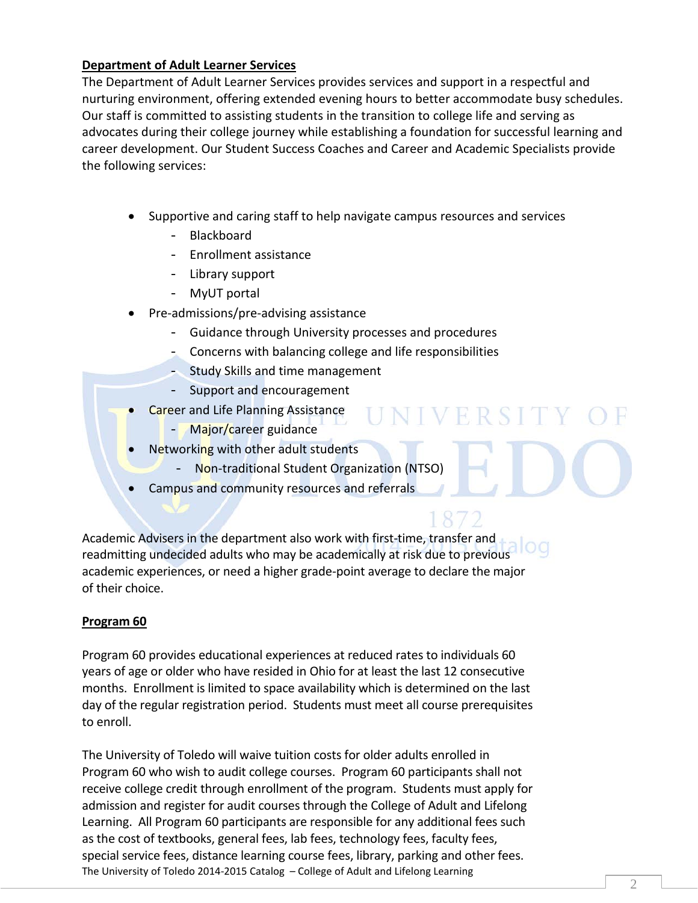#### **Department of Adult Learner Services**

The Department of Adult Learner Services provides services and support in a respectful and nurturing environment, offering extended evening hours to better accommodate busy schedules. Our staff is committed to assisting students in the transition to college life and serving as advocates during their college journey while establishing a foundation for successful learning and career development. Our Student Success Coaches and Career and Academic Specialists provide the following services:

- Supportive and caring staff to help navigate campus resources and services
	- Blackboard
	- Enrollment assistance
	- Library support
	- MyUT portal
- Pre-admissions/pre-advising assistance
	- Guidance through University processes and procedures
	- Concerns with balancing college and life responsibilities

NIVERSIT

- Study Skills and time management
- Support and encouragement
- Career and Life Planning Assistance
	- Major/career guidance
	- Networking with other adult students
		- Non-traditional Student Organization (NTSO)
	- Campus and community resources and referrals

Academic Advisers in the department also work with first-time, transfer and readmitting undecided adults who may be academically at risk due to previous academic experiences, or need a higher grade-point average to declare the major of their choice.

#### **Program 60**

Program 60 provides educational experiences at reduced rates to individuals 60 years of age or older who have resided in Ohio for at least the last 12 consecutive months. Enrollment is limited to space availability which is determined on the last day of the regular registration period. Students must meet all course prerequisites to enroll.

The University of Toledo 2014-2015 Catalog – College of Adult and Lifelong Learning The University of Toledo will waive tuition costs for older adults enrolled in Program 60 who wish to audit college courses. Program 60 participants shall not receive college credit through enrollment of the program. Students must apply for admission and register for audit courses through the College of Adult and Lifelong Learning. All Program 60 participants are responsible for any additional fees such as the cost of textbooks, general fees, lab fees, technology fees, faculty fees, special service fees, distance learning course fees, library, parking and other fees.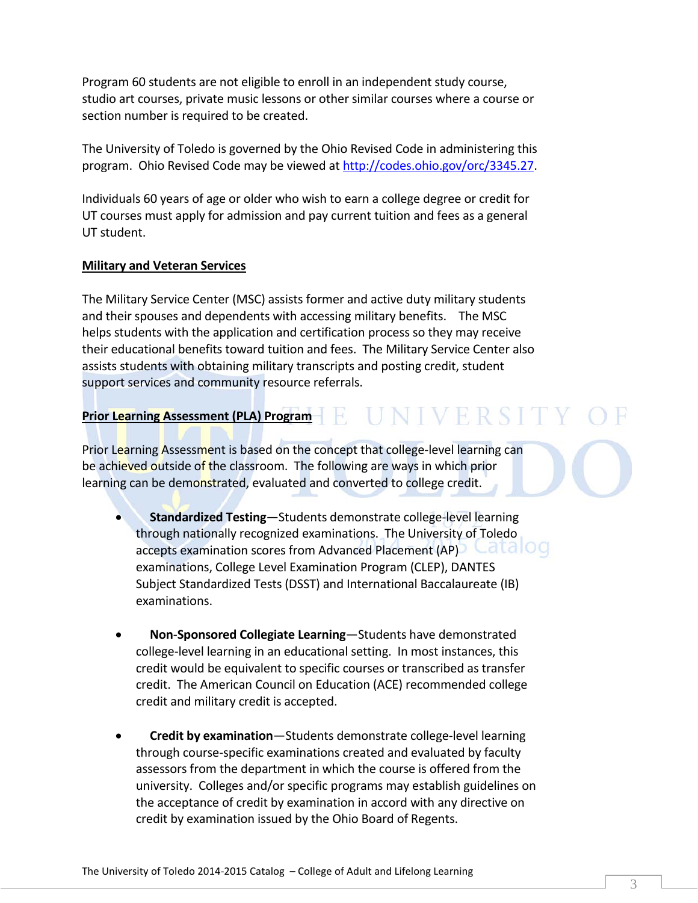Program 60 students are not eligible to enroll in an independent study course, studio art courses, private music lessons or other similar courses where a course or section number is required to be created.

The University of Toledo is governed by the Ohio Revised Code in administering this program. Ohio Revised Code may be viewed a[t http://codes.ohio.gov/orc/3345.27.](http://codes.ohio.gov/orc/3345.27)

Individuals 60 years of age or older who wish to earn a college degree or credit for UT courses must apply for admission and pay current tuition and fees as a general UT student.

#### **Military and Veteran Services**

The Military Service Center (MSC) assists former and active duty military students and their spouses and dependents with accessing military benefits. The MSC helps students with the application and certification process so they may receive their educational benefits toward tuition and fees. The Military Service Center also assists students with obtaining military transcripts and posting credit, student support services and community resource referrals.

## **Prior Learning Assessment (PLA) Program**

Prior Learning Assessment is based on the concept that college-level learning can be achieved outside of the classroom. The following are ways in which prior learning can be demonstrated, evaluated and converted to college credit.

- **Standardized Testing**—Students demonstrate college-level learning through nationally recognized examinations. The University of Toledo accepts examination scores from Advanced Placement (AP) Latel OG examinations, College Level Examination Program (CLEP), DANTES Subject Standardized Tests (DSST) and International Baccalaureate (IB) examinations.
- **Non**-**Sponsored Collegiate Learning**—Students have demonstrated college-level learning in an educational setting. In most instances, this credit would be equivalent to specific courses or transcribed as transfer credit. The American Council on Education (ACE) recommended college credit and military credit is accepted.
- **Credit by examination**—Students demonstrate college-level learning through course-specific examinations created and evaluated by faculty assessors from the department in which the course is offered from the university. Colleges and/or specific programs may establish guidelines on the acceptance of credit by examination in accord with any directive on credit by examination issued by the Ohio Board of Regents.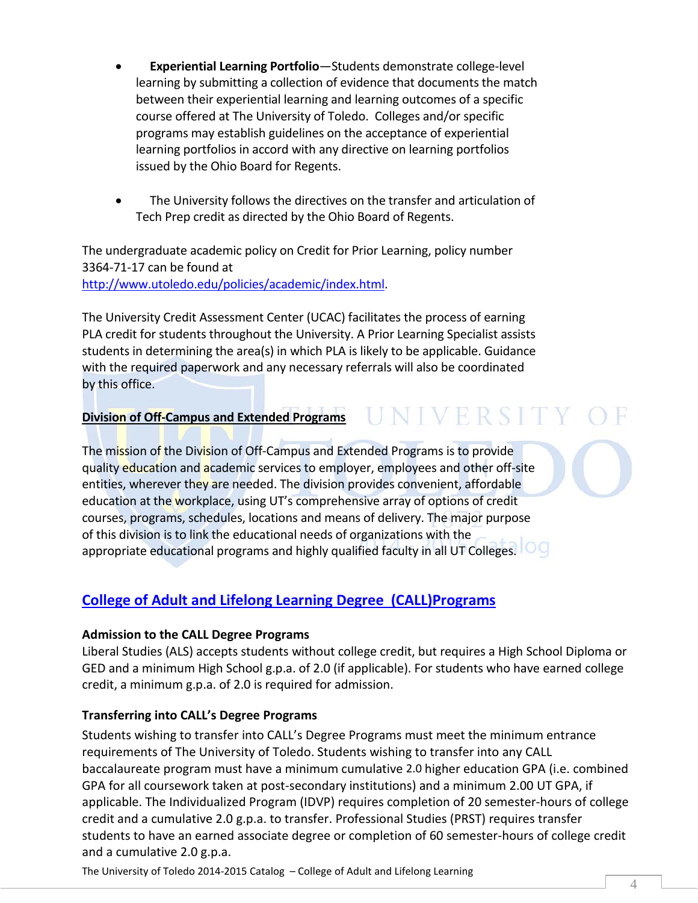- **Experiential Learning Portfolio**—Students demonstrate college-level learning by submitting a collection of evidence that documents the match between their experiential learning and learning outcomes of a specific course offered at The University of Toledo. Colleges and/or specific programs may establish guidelines on the acceptance of experiential learning portfolios in accord with any directive on learning portfolios issued by the Ohio Board for Regents.
- The University follows the directives on the transfer and articulation of Tech Prep credit as directed by the Ohio Board of Regents.

The undergraduate academic policy on Credit for Prior Learning, policy number 3364-71-17 can be found at [http://www.utoledo.edu/policies/academic/index.html.](http://www.utoledo.edu/policies/academic/index.html)

The University Credit Assessment Center (UCAC) facilitates the process of earning PLA credit for students throughout the University. A Prior Learning Specialist assists students in determining the area(s) in which PLA is likely to be applicable. Guidance with the required paperwork and any necessary referrals will also be coordinated by this office.

#### **Division of Off-Campus and Extended Programs**

The mission of the Division of Off-Campus and Extended Programs is to provide quality education and academic services to employer, employees and other off-site entities, wherever they are needed. The division provides convenient, affordable education at the workplace, using UT's comprehensive array of options of credit courses, programs, schedules, locations and means of delivery. The major purpose of this division is to link the educational needs of organizations with the appropriate educational programs and highly qualified faculty in all UT Colleges.  $\Box$ 

#### **[College of Adult and Lifelong Learning](http://www.utoledo.edu/utlc/ucollege/index.html) Degree (CALL)Programs**

#### **Admission to the CALL Degree Programs**

Liberal Studies (ALS) accepts students without college credit, but requires a High School Diploma or GED and a minimum High School g.p.a. of 2.0 (if applicable). For students who have earned college credit, a minimum g.p.a. of 2.0 is required for admission.

**UNIVERSITY** 

#### **Transferring into CALL's Degree Programs**

Students wishing to transfer into CALL's Degree Programs must meet the minimum entrance requirements of The University of Toledo. Students wishing to transfer into any CALL baccalaureate program must have a minimum cumulative 2.0 higher education GPA (i.e. combined GPA for all coursework taken at post-secondary institutions) and a minimum 2.00 UT GPA, if applicable. The Individualized Program (IDVP) requires completion of 20 semester-hours of college credit and a cumulative 2.0 g.p.a. to transfer. Professional Studies (PRST) requires transfer students to have an earned associate degree or completion of 60 semester-hours of college credit and a cumulative 2.0 g.p.a.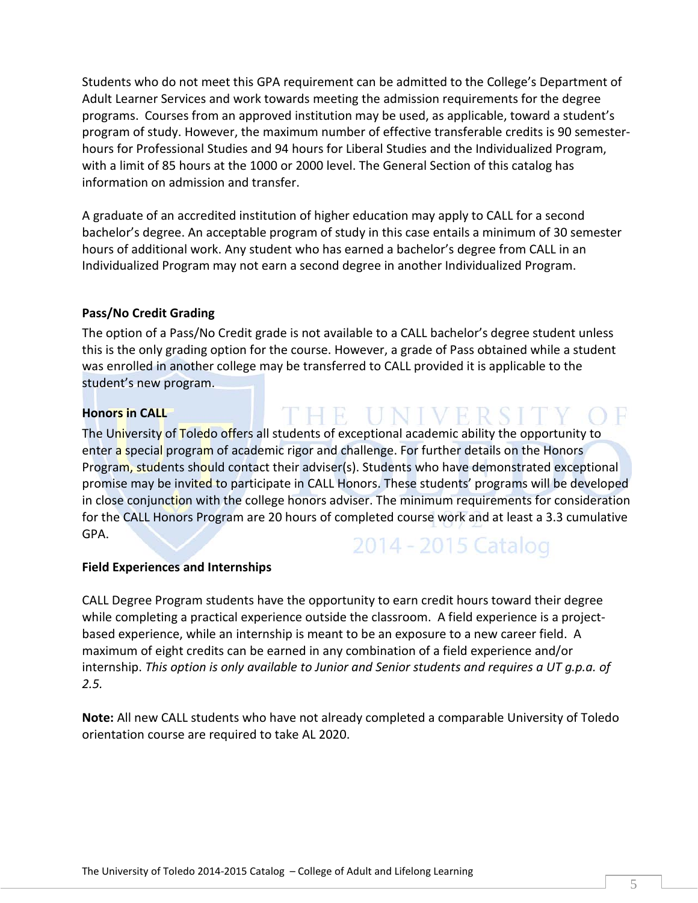Students who do not meet this GPA requirement can be admitted to the College's Department of Adult Learner Services and work towards meeting the admission requirements for the degree programs. Courses from an approved institution may be used, as applicable, toward a student's program of study. However, the maximum number of effective transferable credits is 90 semesterhours for Professional Studies and 94 hours for Liberal Studies and the Individualized Program, with a limit of 85 hours at the 1000 or 2000 level. The General Section of this catalog has information on admission and transfer.

A graduate of an accredited institution of higher education may apply to CALL for a second bachelor's degree. An acceptable program of study in this case entails a minimum of 30 semester hours of additional work. Any student who has earned a bachelor's degree from CALL in an Individualized Program may not earn a second degree in another Individualized Program.

#### **Pass/No Credit Grading**

The option of a Pass/No Credit grade is not available to a CALL bachelor's degree student unless this is the only grading option for the course. However, a grade of Pass obtained while a student was enrolled in another college may be transferred to CALL provided it is applicable to the student's new program.

#### **Honors in CALL**

The University of Toledo offers all students of exceptional academic ability the opportunity to enter a special program of academic rigor and challenge. For further details on the Honors Program, students should contact their adviser(s). Students who have demonstrated exceptional promise may be invited to participate in CALL Honors. These students' programs will be developed in close conjunction with the college honors adviser. The minimum requirements for consideration for the CALL Honors Program are 20 hours of completed course work and at least a 3.3 cumulative GPA.

# 2014 - 2015 Catalog

THE UNIVERSIT

#### **Field Experiences and Internships**

CALL Degree Program students have the opportunity to earn credit hours toward their degree while completing a practical experience outside the classroom. A field experience is a projectbased experience, while an internship is meant to be an exposure to a new career field. A maximum of eight credits can be earned in any combination of a field experience and/or internship. *This option is only available to Junior and Senior students and requires a UT g.p.a. of 2.5.*

**Note:** All new CALL students who have not already completed a comparable University of Toledo orientation course are required to take AL 2020.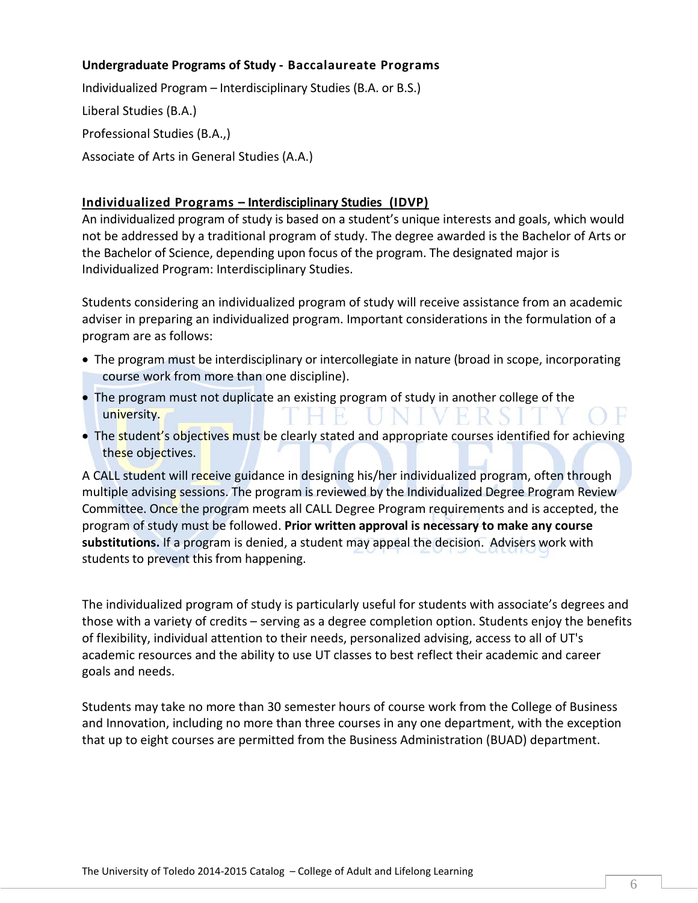#### **Undergraduate Programs of Study - Baccalaureate Programs**

Individualized Program – Interdisciplinary Studies (B.A. or B.S.) Liberal Studies (B.A.) Professional Studies (B.A.,) Associate of Arts in General Studies (A.A.)

#### **[Individualized Programs](http://www.utoledo.edu/utlc/ucollege/isp/individualized_program.html) – Interdisciplinary Studies (IDVP)**

An individualized program of study is based on a student's unique interests and goals, which would not be addressed by a traditional program of study. The degree awarded is the Bachelor of Arts or the Bachelor of Science, depending upon focus of the program. The designated major is Individualized Program: Interdisciplinary Studies.

Students considering an individualized program of study will receive assistance from an academic adviser in preparing an individualized program. Important considerations in the formulation of a program are as follows:

- The program must be interdisciplinary or intercollegiate in nature (broad in scope, incorporating course work from more than one discipline).
- The program must not duplicate an existing program of study in another college of the university.
- The student's objectives must be clearly stated and appropriate courses identified for achieving these objectives.

A CALL student will receive guidance in designing his/her individualized program, often through multiple advising sessions. The program is reviewed by the Individualized Degree Program Review Committee. Once the program meets all CALL Degree Program requirements and is accepted, the program of study must be followed. **Prior written approval is necessary to make any course substitutions.** If a program is denied, a student may appeal the decision. Advisers work with students to prevent this from happening.

The individualized program of study is particularly useful for students with associate's degrees and those with a variety of credits – serving as a degree completion option. Students enjoy the benefits of flexibility, individual attention to their needs, personalized advising, access to all of UT's academic resources and the ability to use UT classes to best reflect their academic and career goals and needs.

Students may take no more than 30 semester hours of course work from the College of Business and Innovation, including no more than three courses in any one department, with the exception that up to eight courses are permitted from the Business Administration (BUAD) department.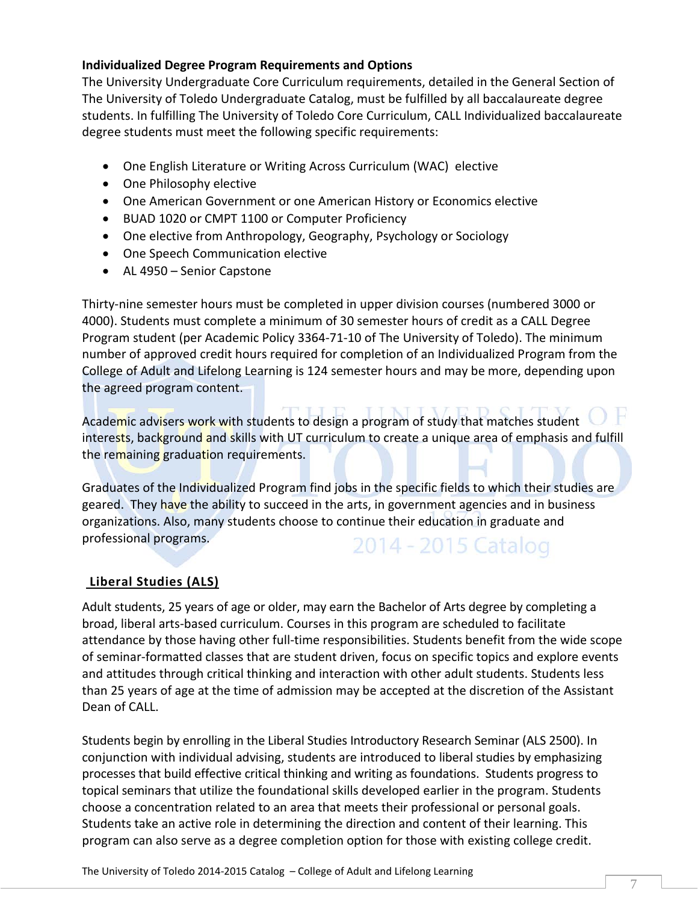#### **Individualized Degree Program Requirements and Options**

The University Undergraduate Core Curriculum requirements, detailed in the General Section of The University of Toledo Undergraduate Catalog, must be fulfilled by all baccalaureate degree students. In fulfilling The University of Toledo Core Curriculum, CALL Individualized baccalaureate degree students must meet the following specific requirements:

- One English Literature or Writing Across Curriculum (WAC) elective
- One Philosophy elective
- One American Government or one American History or Economics elective
- BUAD 1020 or CMPT 1100 or Computer Proficiency
- One elective from Anthropology, Geography, Psychology or Sociology
- One Speech Communication elective
- AL 4950 Senior Capstone

Thirty-nine semester hours must be completed in upper division courses (numbered 3000 or 4000). Students must complete a minimum of 30 semester hours of credit as a CALL Degree Program student (per Academic Policy 3364-71-10 of The University of Toledo). The minimum number of approved credit hours required for completion of an Individualized Program from the College of Adult and Lifelong Learning is 124 semester hours and may be more, depending upon the agreed program content.

Academic advisers work with students to design a program of study that matches student interests, background and skills with UT curriculum to create a unique area of emphasis and fulfill the remaining graduation requirements.

Graduates of the Individualized Program find jobs in the specific fields to which their studies are geared. They have the ability to succeed in the arts, in government agencies and in business organizations. Also, many students choose to continue their education in graduate and professional programs. 2014 - 2015 Catalog

#### **[Liberal Studies \(ALS\)](http://www.utoledo.edu/utlc/ucollege/isp/adult_liberal_studies.html)**

Adult students, 25 years of age or older, may earn the Bachelor of Arts degree by completing a broad, liberal arts-based curriculum. Courses in this program are scheduled to facilitate attendance by those having other full-time responsibilities. Students benefit from the wide scope of seminar-formatted classes that are student driven, focus on specific topics and explore events and attitudes through critical thinking and interaction with other adult students. Students less than 25 years of age at the time of admission may be accepted at the discretion of the Assistant Dean of CALL.

Students begin by enrolling in the Liberal Studies Introductory Research Seminar (ALS 2500). In conjunction with individual advising, students are introduced to liberal studies by emphasizing processes that build effective critical thinking and writing as foundations. Students progress to topical seminars that utilize the foundational skills developed earlier in the program. Students choose a concentration related to an area that meets their professional or personal goals. Students take an active role in determining the direction and content of their learning. This program can also serve as a degree completion option for those with existing college credit.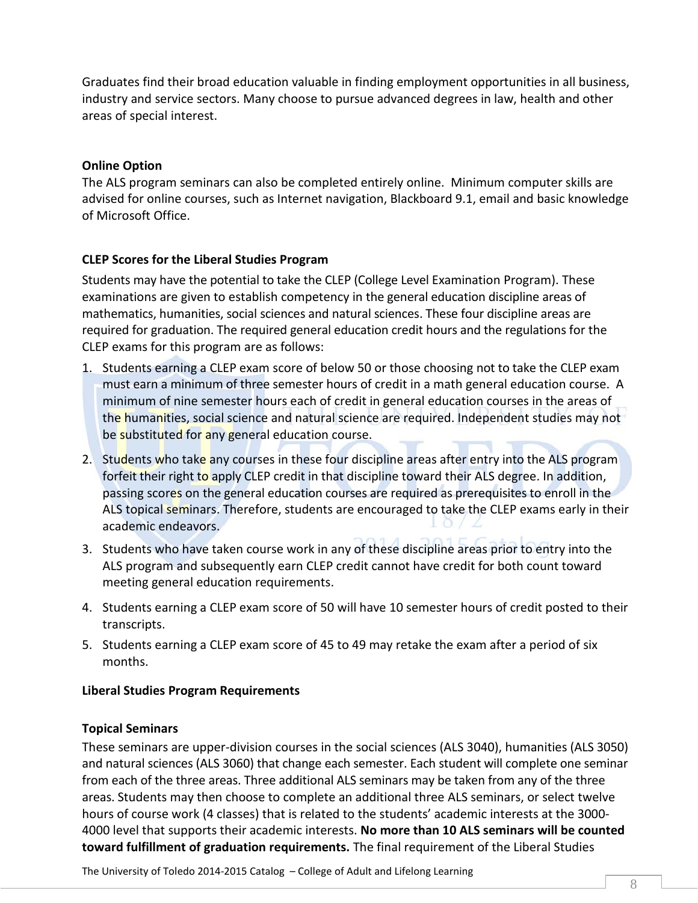Graduates find their broad education valuable in finding employment opportunities in all business, industry and service sectors. Many choose to pursue advanced degrees in law, health and other areas of special interest.

#### **Online Option**

The ALS program seminars can also be completed entirely online. Minimum computer skills are advised for online courses, such as Internet navigation, Blackboard 9.1, email and basic knowledge of Microsoft Office.

#### **CLEP Scores for the Liberal Studies Program**

Students may have the potential to take the CLEP (College Level Examination Program). These examinations are given to establish competency in the general education discipline areas of mathematics, humanities, social sciences and natural sciences. These four discipline areas are required for graduation. The required general education credit hours and the regulations for the CLEP exams for this program are as follows:

- 1. Students earning a CLEP exam score of below 50 or those choosing not to take the CLEP exam must earn a minimum of three semester hours of credit in a math general education course. A minimum of nine semester hours each of credit in general education courses in the areas of the humanities, social science and natural science are required. Independent studies may not be substituted for any general education course.
- 2. Students who take any courses in these four discipline areas after entry into the ALS program forfeit their right to apply CLEP credit in that discipline toward their ALS degree. In addition, passing scores on the general education courses are required as prerequisites to enroll in the ALS topical seminars. Therefore, students are encouraged to take the CLEP exams early in their academic endeavors.
- 3. Students who have taken course work in any of these discipline areas prior to entry into the ALS program and subsequently earn CLEP credit cannot have credit for both count toward meeting general education requirements.
- 4. Students earning a CLEP exam score of 50 will have 10 semester hours of credit posted to their transcripts.
- 5. Students earning a CLEP exam score of 45 to 49 may retake the exam after a period of six months.

#### **Liberal Studies Program Requirements**

#### **Topical Seminars**

These seminars are upper-division courses in the social sciences (ALS 3040), humanities (ALS 3050) and natural sciences (ALS 3060) that change each semester. Each student will complete one seminar from each of the three areas. Three additional ALS seminars may be taken from any of the three areas. Students may then choose to complete an additional three ALS seminars, or select twelve hours of course work (4 classes) that is related to the students' academic interests at the 3000- 4000 level that supports their academic interests. **No more than 10 ALS seminars will be counted toward fulfillment of graduation requirements.** The final requirement of the Liberal Studies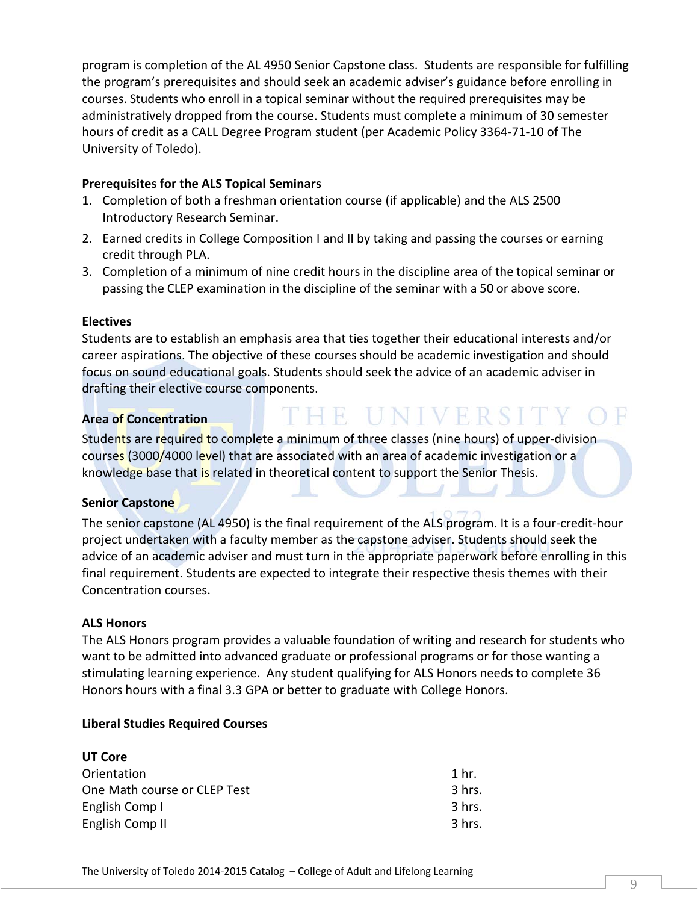program is completion of the AL 4950 Senior Capstone class. Students are responsible for fulfilling the program's prerequisites and should seek an academic adviser's guidance before enrolling in courses. Students who enroll in a topical seminar without the required prerequisites may be administratively dropped from the course. Students must complete a minimum of 30 semester hours of credit as a CALL Degree Program student (per Academic Policy 3364-71-10 of The University of Toledo).

#### **Prerequisites for the ALS Topical Seminars**

- 1. Completion of both a freshman orientation course (if applicable) and the ALS 2500 Introductory Research Seminar.
- 2. Earned credits in College Composition I and II by taking and passing the courses or earning credit through PLA.
- 3. Completion of a minimum of nine credit hours in the discipline area of the topical seminar or passing the CLEP examination in the discipline of the seminar with a 50 or above score.

#### **Electives**

Students are to establish an emphasis area that ties together their educational interests and/or career aspirations. The objective of these courses should be academic investigation and should focus on sound educational goals. Students should seek the advice of an academic adviser in drafting their elective course components.

#### **Area of Concentration**

# THE UNIVERSITY OF

Students are required to complete a minimum of three classes (nine hours) of upper-division courses (3000/4000 level) that are associated with an area of academic investigation or a knowledge base that is related in theoretical content to support the Senior Thesis.

#### **Senior Capstone**

The senior capstone (AL 4950) is the final requirement of the ALS program. It is a four-credit-hour project undertaken with a faculty member as the capstone adviser. Students should seek the advice of an academic adviser and must turn in the appropriate paperwork before enrolling in this final requirement. Students are expected to integrate their respective thesis themes with their Concentration courses.

#### **ALS Honors**

The ALS Honors program provides a valuable foundation of writing and research for students who want to be admitted into advanced graduate or professional programs or for those wanting a stimulating learning experience. Any student qualifying for ALS Honors needs to complete 36 Honors hours with a final 3.3 GPA or better to graduate with College Honors.

#### **Liberal Studies Required Courses**

| UT Core                      |          |
|------------------------------|----------|
| Orientation                  | 1 hr.    |
| One Math course or CLEP Test | $3$ hrs. |
| English Comp I               | $3$ hrs. |
| English Comp II              | 3 hrs.   |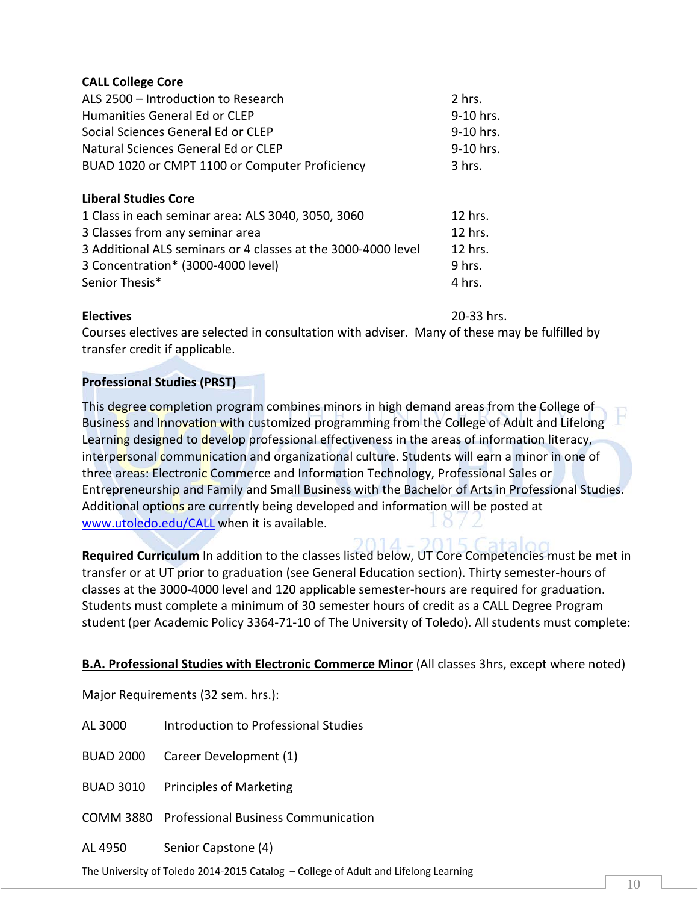#### **CALL College Core**

| ALS 2500 - Introduction to Research                           | 2 hrs.    |
|---------------------------------------------------------------|-----------|
| Humanities General Ed or CLEP                                 | 9-10 hrs. |
| Social Sciences General Ed or CLEP                            | 9-10 hrs. |
| Natural Sciences General Ed or CLEP                           | 9-10 hrs. |
| BUAD 1020 or CMPT 1100 or Computer Proficiency                | 3 hrs.    |
| <b>Liberal Studies Core</b>                                   |           |
| 1 Class in each seminar area: ALS 3040, 3050, 3060            | 12 hrs.   |
| 3 Classes from any seminar area                               | 12 hrs.   |
| 3 Additional ALS seminars or 4 classes at the 3000-4000 level | 12 hrs.   |
| 3 Concentration* (3000-4000 level)                            | 9 hrs.    |
| Senior Thesis*                                                | 4 hrs.    |

**Electives** 20-33 hrs.

Courses electives are selected in consultation with adviser. Many of these may be fulfilled by transfer credit if applicable.

#### **Professional Studies (PRST)**

This degree completion program combines minors in high demand areas from the College of Business and Innovation with customized programming from the College of Adult and Lifelong Learning designed to develop professional effectiveness in the areas of information literacy, interpersonal communication and organizational culture. Students will earn a minor in one of three areas: Electronic Commerce and Information Technology, Professional Sales or Entrepreneurship and Family and Small Business with the Bachelor of Arts in Professional Studies. Additional options are currently being developed and information will be posted at [www.utoledo.edu/CALL](http://www.utoledo.edu/CALL) when it is available.

**Required Curriculum** In addition to the classes listed below, UT Core Competencies must be met in transfer or at UT prior to graduation (see General Education section). Thirty semester-hours of classes at the 3000-4000 level and 120 applicable semester-hours are required for graduation. Students must complete a minimum of 30 semester hours of credit as a CALL Degree Program student (per Academic Policy 3364-71-10 of The University of Toledo). All students must complete:

#### **B.A. Professional Studies with Electronic Commerce Minor** (All classes 3hrs, except where noted)

Major Requirements (32 sem. hrs.):

AL 3000 Introduction to Professional Studies

BUAD 2000 Career Development (1)

BUAD 3010 Principles of Marketing

COMM 3880 Professional Business Communication

AL 4950 Senior Capstone (4)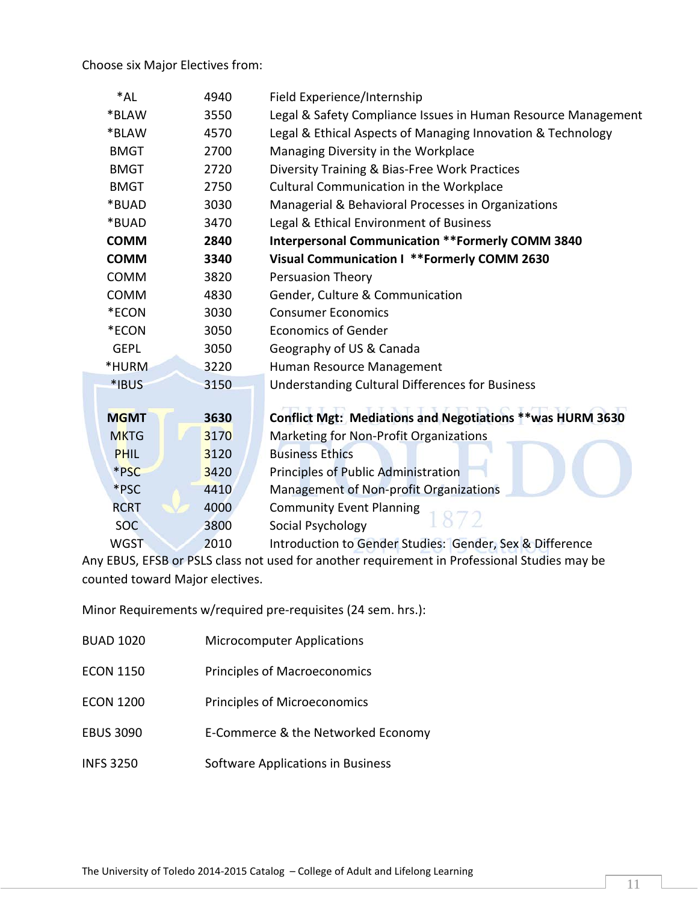Choose six Major Electives from:

| $*AL$       | 4940 | Field Experience/Internship                                   |  |  |
|-------------|------|---------------------------------------------------------------|--|--|
| *BLAW       | 3550 | Legal & Safety Compliance Issues in Human Resource Management |  |  |
| *BLAW       | 4570 | Legal & Ethical Aspects of Managing Innovation & Technology   |  |  |
| <b>BMGT</b> | 2700 | Managing Diversity in the Workplace                           |  |  |
| <b>BMGT</b> | 2720 | Diversity Training & Bias-Free Work Practices                 |  |  |
| <b>BMGT</b> | 2750 | <b>Cultural Communication in the Workplace</b>                |  |  |
| *BUAD       | 3030 | Managerial & Behavioral Processes in Organizations            |  |  |
| *BUAD       | 3470 | Legal & Ethical Environment of Business                       |  |  |
| <b>COMM</b> | 2840 | <b>Interpersonal Communication ** Formerly COMM 3840</b>      |  |  |
| <b>COMM</b> | 3340 | Visual Communication I ** Formerly COMM 2630                  |  |  |
| <b>COMM</b> | 3820 | <b>Persuasion Theory</b>                                      |  |  |
| <b>COMM</b> | 4830 | Gender, Culture & Communication                               |  |  |
| *ECON       | 3030 | <b>Consumer Economics</b>                                     |  |  |
| *ECON       | 3050 | <b>Economics of Gender</b>                                    |  |  |
| <b>GEPL</b> | 3050 | Geography of US & Canada                                      |  |  |
| *HURM       | 3220 | Human Resource Management                                     |  |  |
| *IBUS       | 3150 | Understanding Cultural Differences for Business               |  |  |
|             |      |                                                               |  |  |
| <b>MGMT</b> | 3630 | Conflict Mgt: Mediations and Negotiations ** was HURM 3630    |  |  |
| <b>MKTG</b> | 3170 | Marketing for Non-Profit Organizations                        |  |  |
| <b>PHIL</b> | 3120 | <b>Business Ethics</b>                                        |  |  |
| *PSC        | 3420 | Principles of Public Administration                           |  |  |
| *PSC        | 4410 | Management of Non-profit Organizations                        |  |  |
| <b>RCRT</b> | 4000 | <b>Community Event Planning</b>                               |  |  |
| <b>SOC</b>  | 3800 | Social Psychology                                             |  |  |
| <b>WGST</b> | 2010 | Introduction to Gender Studies: Gender, Sex & Difference      |  |  |

Any EBUS, EFSB or PSLS class not used for another requirement in Professional Studies may be counted toward Major electives.

Minor Requirements w/required pre-requisites (24 sem. hrs.):

| <b>BUAD 1020</b> | <b>Microcomputer Applications</b>   |
|------------------|-------------------------------------|
| <b>ECON 1150</b> | <b>Principles of Macroeconomics</b> |
| <b>ECON 1200</b> | <b>Principles of Microeconomics</b> |
| <b>EBUS 3090</b> | E-Commerce & the Networked Economy  |
| <b>INFS 3250</b> | Software Applications in Business   |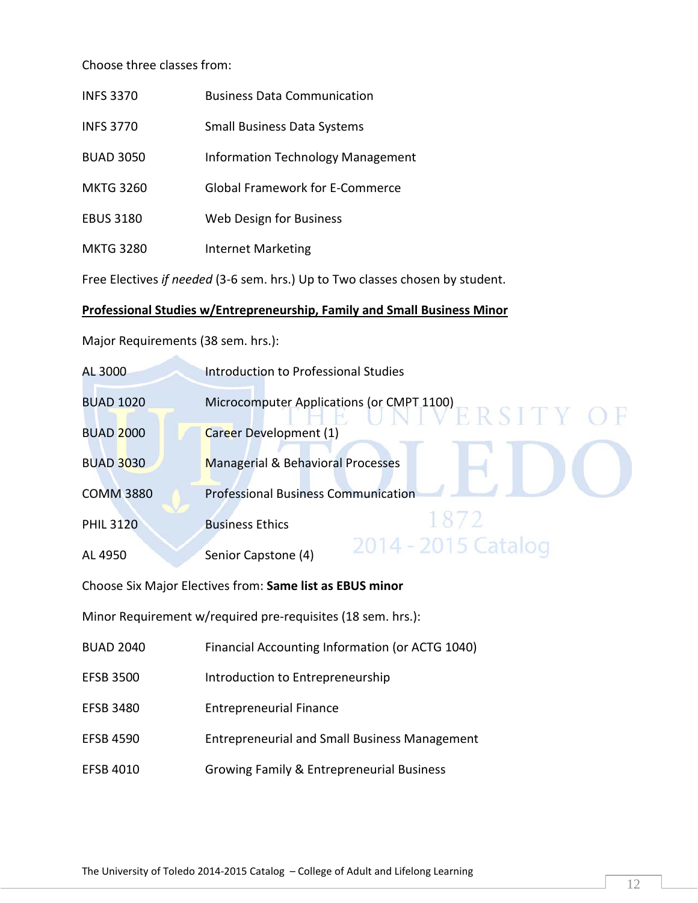Choose three classes from:

| <b>INFS 3370</b>                                                              | <b>Business Data Communication</b>     |  |  |
|-------------------------------------------------------------------------------|----------------------------------------|--|--|
| <b>INFS 3770</b>                                                              | <b>Small Business Data Systems</b>     |  |  |
| <b>BUAD 3050</b>                                                              | Information Technology Management      |  |  |
| <b>MKTG 3260</b>                                                              | <b>Global Framework for E-Commerce</b> |  |  |
| <b>EBUS 3180</b>                                                              | Web Design for Business                |  |  |
| <b>MKTG 3280</b>                                                              | Internet Marketing                     |  |  |
| Free Electives if needed (3-6 sem. hrs.) Up to Two classes chosen by student. |                                        |  |  |

### **Professional Studies w/Entrepreneurship, Family and Small Business Minor**

Major Requirements (38 sem. hrs.):

| AL 3000          | Introduction to Professional Studies                            |
|------------------|-----------------------------------------------------------------|
| <b>BUAD 1020</b> | Microcomputer Applications (or CMPT 1100)<br><b>IVERSITY OF</b> |
| <b>BUAD 2000</b> | Career Development (1)                                          |
| <b>BUAD 3030</b> | <b>Managerial &amp; Behavioral Processes</b>                    |
| <b>COMM 3880</b> | <b>Professional Business Communication</b>                      |
| <b>PHIL 3120</b> | 1872<br><b>Business Ethics</b>                                  |
| AL 4950          | 2014 - 2015 Catalog<br>Senior Capstone (4)                      |

Choose Six Major Electives from: **Same list as EBUS minor**

Minor Requirement w/required pre-requisites (18 sem. hrs.):

- BUAD 2040 Financial Accounting Information (or ACTG 1040)
- EFSB 3500 Introduction to Entrepreneurship
- EFSB 3480 Entrepreneurial Finance
- EFSB 4590 Entrepreneurial and Small Business Management
- EFSB 4010 Growing Family & Entrepreneurial Business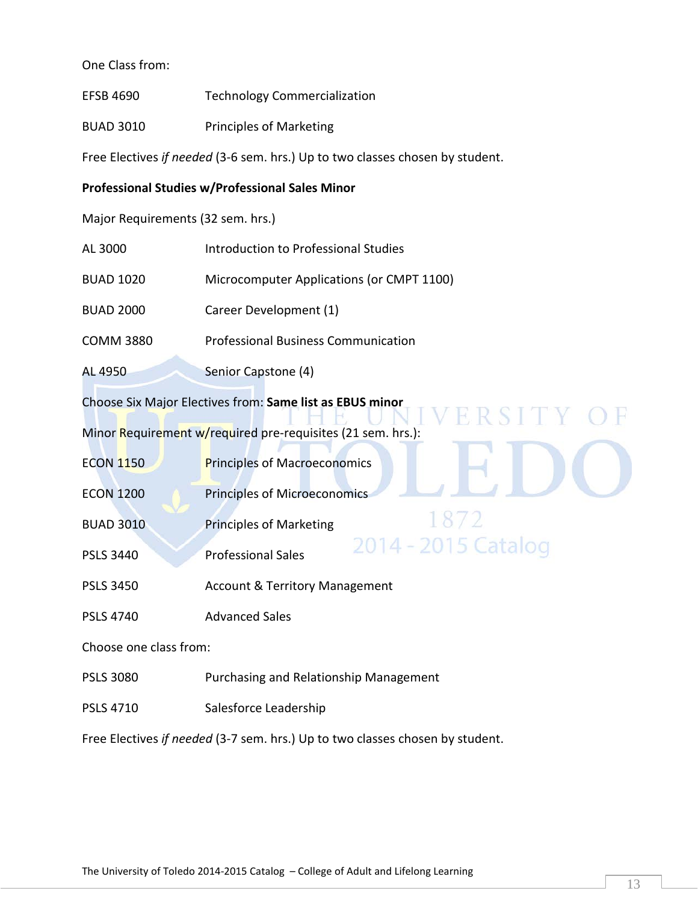#### One Class from:

- EFSB 4690 Technology Commercialization
- BUAD 3010 Principles of Marketing

Free Electives *if needed* (3-6 sem. hrs.) Up to two classes chosen by student.

#### **Professional Studies w/Professional Sales Minor**

Major Requirements (32 sem. hrs.)

| Choose Six Major Electives from: Same list as EBUS minor |                                            |  |  |
|----------------------------------------------------------|--------------------------------------------|--|--|
| AL 4950                                                  | Senior Capstone (4)                        |  |  |
| COMM 3880                                                | <b>Professional Business Communication</b> |  |  |
| <b>BUAD 2000</b>                                         | Career Development (1)                     |  |  |
| BUAD 1020                                                | Microcomputer Applications (or CMPT 1100)  |  |  |
| AL 3000                                                  | Introduction to Professional Studies       |  |  |

Minor Requirement w/required pre-requisites (21 sem. hrs.):

- ECON 1150 **Principles of Macroeconomics**
- ECON 1200 Principles of Microeconomics
- BUAD 3010 Principles of Marketing
- PSLS 3440 Professional Sales
- PSLS 3450 Account & Territory Management
- PSLS 4740 Advanced Sales

Choose one class from:

- PSLS 3080 Purchasing and Relationship Management
- PSLS 4710 Salesforce Leadership

Free Electives *if needed* (3-7 sem. hrs.) Up to two classes chosen by student.

1872

2014 - 2015 Catalog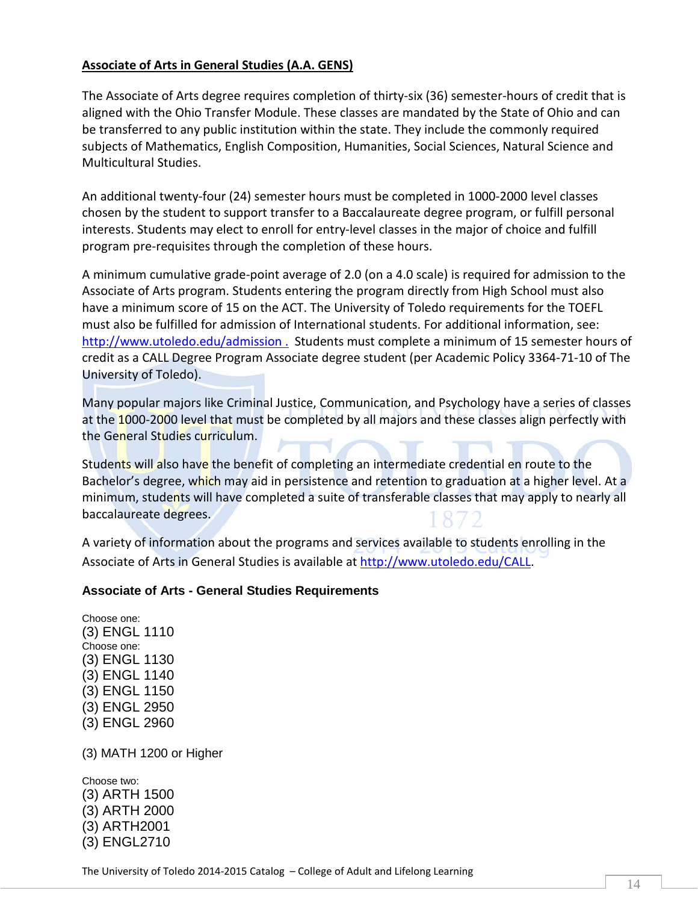#### **Associate of Arts in General Studies (A.A. GENS)**

The Associate of Arts degree requires completion of thirty-six (36) semester-hours of credit that is aligned with the Ohio Transfer Module. These classes are mandated by the State of Ohio and can be transferred to any public institution within the state. They include the commonly required subjects of Mathematics, English Composition, Humanities, Social Sciences, Natural Science and Multicultural Studies.

An additional twenty-four (24) semester hours must be completed in 1000-2000 level classes chosen by the student to support transfer to a Baccalaureate degree program, or fulfill personal interests. Students may elect to enroll for entry-level classes in the major of choice and fulfill program pre-requisites through the completion of these hours.

A minimum cumulative grade-point average of 2.0 (on a 4.0 scale) is required for admission to the Associate of Arts program. Students entering the program directly from High School must also have a minimum score of 15 on the ACT. The University of Toledo requirements for the TOEFL must also be fulfilled for admission of International students. For additional information, see: <http://www.utoledo.edu/admission> . Students must complete a minimum of 15 semester hours of credit as a CALL Degree Program Associate degree student (per Academic Policy 3364-71-10 of The University of Toledo).

Many popular majors like Criminal Justice, Communication, and Psychology have a series of classes at the 1000-2000 level that must be completed by all majors and these classes align perfectly with the General Studies curriculum.

Students will also have the benefit of completing an intermediate credential en route to the Bachelor's degree, which may aid in persistence and retention to graduation at a higher level. At a minimum, students will have completed a suite of transferable classes that may apply to nearly all baccalaureate degrees.

A variety of information about the programs and services available to students enrolling in the Associate of Arts in General Studies is available at [http://www.utoledo.edu/CALL.](http://www.utoledo.edu/CALL)

#### **Associate of Arts - General Studies Requirements**

Choose one: (3) ENGL 1110 Choose one: (3) ENGL 1130 (3) ENGL 1140 (3) ENGL 1150 (3) ENGL 2950 (3) ENGL 2960

(3) MATH 1200 or Higher

Choose two: (3) ARTH 1500 (3) ARTH 2000 (3) ARTH2001 (3) ENGL2710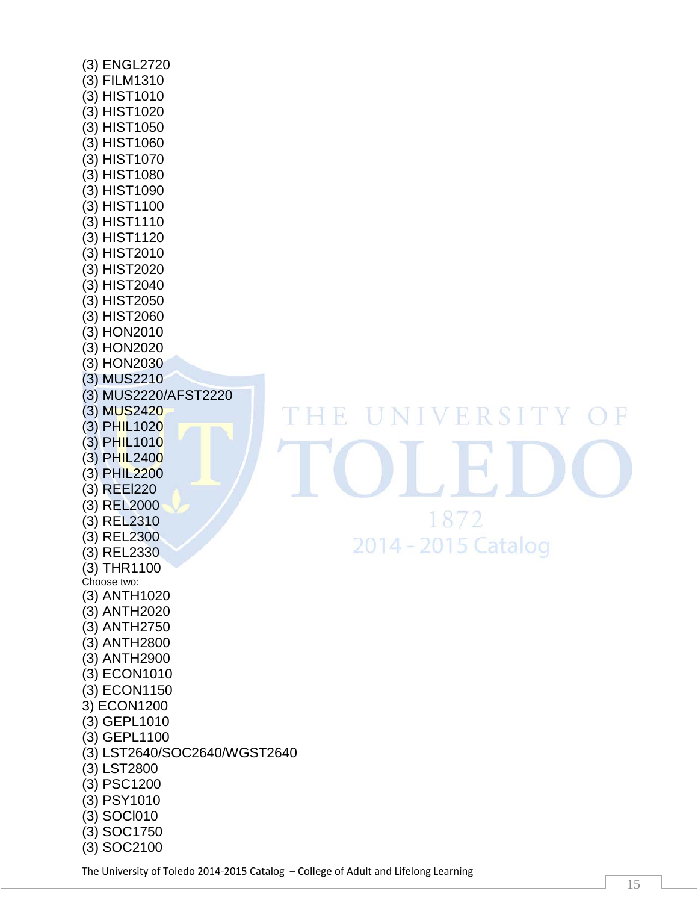(3) ENGL2720 (3) FILM1310 (3) HIST1010 (3) HIST1020 (3) HIST1050 (3) HIST1060 (3) HIST1070 (3) HIST1080 (3) HIST1090 (3) HIST1100 (3) HIST1110 (3) HIST1120 (3) HIST2010 (3) HIST2020 (3) HIST2040 (3) HIST2050 (3) HIST2060 (3) HON2010 (3) HON2020 (3) HON2030 (3) MUS2210 (3) MUS2220/AFST2220 (3) MUS242 0 (3) PHIL1020 (3) PHIL1010 (3) PHIL2400 (3) PHIL2200 (3) REEl220 (3) REL2000 (3) REL2310 (3) REL2300 (3) REL2330 (3) THR1100 Choose two: (3) ANTH1020 (3) ANTH2020 (3) ANTH2750 (3) ANTH2800 (3) ANTH2900 (3) ECON1010 (3) ECON1150 3) ECON1200 (3) GEPL1010 (3) GEPL1100 (3) LST2640/SOC2640/WGST2640 (3) LST2800 (3) PSC1200 (3) PSY1010 (3) SOCl010 (3) SOC1750 (3) SOC2100

# UNIVERSITY THETE  $\bigcap$ 1872 2014 - 2015 Catalog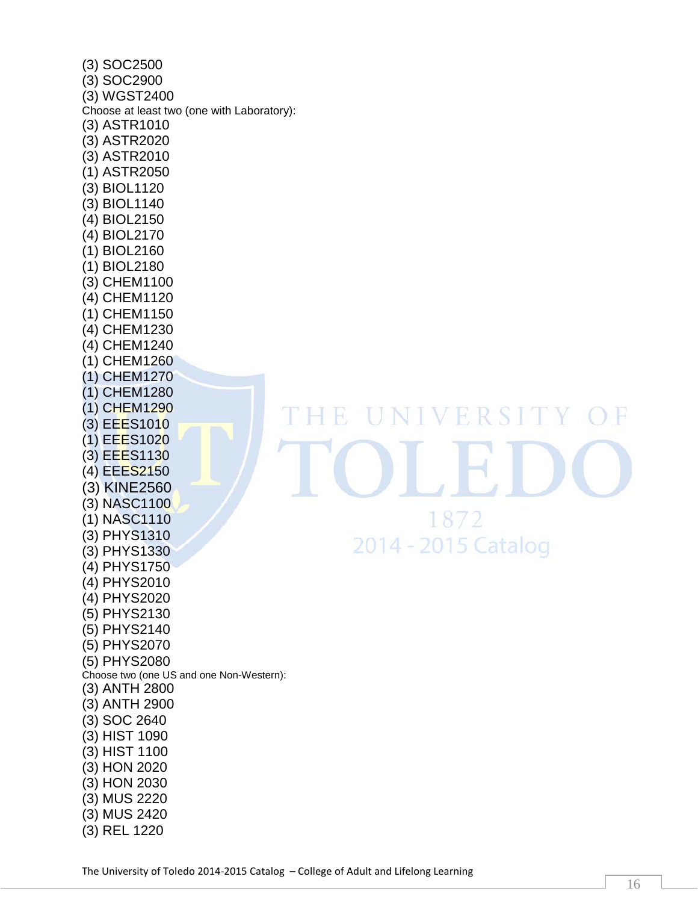| $(3)$ SOC2500<br>(3) SOC2900<br>(3) WGST2400<br>(3) ASTR1010<br>(3) ASTR2020<br>(3) ASTR2010<br>(1) ASTR2050<br>(3) BIOL1120<br>(3) BIOL1140 | Choose at least two (one with Laboratory): |
|----------------------------------------------------------------------------------------------------------------------------------------------|--------------------------------------------|
| (4) BIOL2150<br>(4) BIOL2170<br>$(1)$ BIOL2160                                                                                               |                                            |
| (1) BIOL2180<br>(3) CHEM1100<br>(4) CHEM1120                                                                                                 |                                            |
| (1) CHEM1150<br>(4) CHEM1230<br>(4) CHEM1240                                                                                                 |                                            |
| (1) CHEM1260                                                                                                                                 |                                            |
| (1) CHEM1270                                                                                                                                 |                                            |
| (1) CHEM1280<br>(1) CHEM1290                                                                                                                 |                                            |
| (3) EEES1010                                                                                                                                 |                                            |
| (1) EEES1020                                                                                                                                 |                                            |
| (3) EEES1130                                                                                                                                 |                                            |
| (4) EEES2150                                                                                                                                 |                                            |
| (3) KINE2560                                                                                                                                 |                                            |
| (3) NASC1100<br>(1) NASC1110                                                                                                                 |                                            |
| (3) PHYS1310                                                                                                                                 |                                            |
| (3) PHYS1330                                                                                                                                 |                                            |
| (4) PHYS1750                                                                                                                                 |                                            |
| (4) PHYS2010                                                                                                                                 |                                            |
| (4) PHYS2020                                                                                                                                 |                                            |
| (5) PHYS2130                                                                                                                                 |                                            |
| (5) PHYS2140<br>(5) PHYS2070                                                                                                                 |                                            |
| (5) PHYS2080                                                                                                                                 |                                            |
|                                                                                                                                              | Choose two (one US and one Non-Western):   |
| (3) ANTH 2800                                                                                                                                |                                            |
| (3) ANTH 2900                                                                                                                                |                                            |
| (3) SOC 2640<br>(3) HIST 1090                                                                                                                |                                            |
| (3) HIST 1100                                                                                                                                |                                            |
| (3) HON 2020                                                                                                                                 |                                            |
| (3) HON 2030                                                                                                                                 |                                            |
| (3) MUS 2220                                                                                                                                 |                                            |
| (3) MUS 2420                                                                                                                                 |                                            |
| (3) REL 1220                                                                                                                                 |                                            |

HE UNIVERSITY  $O$  F H. 1872 2014 - 2015 Catalog